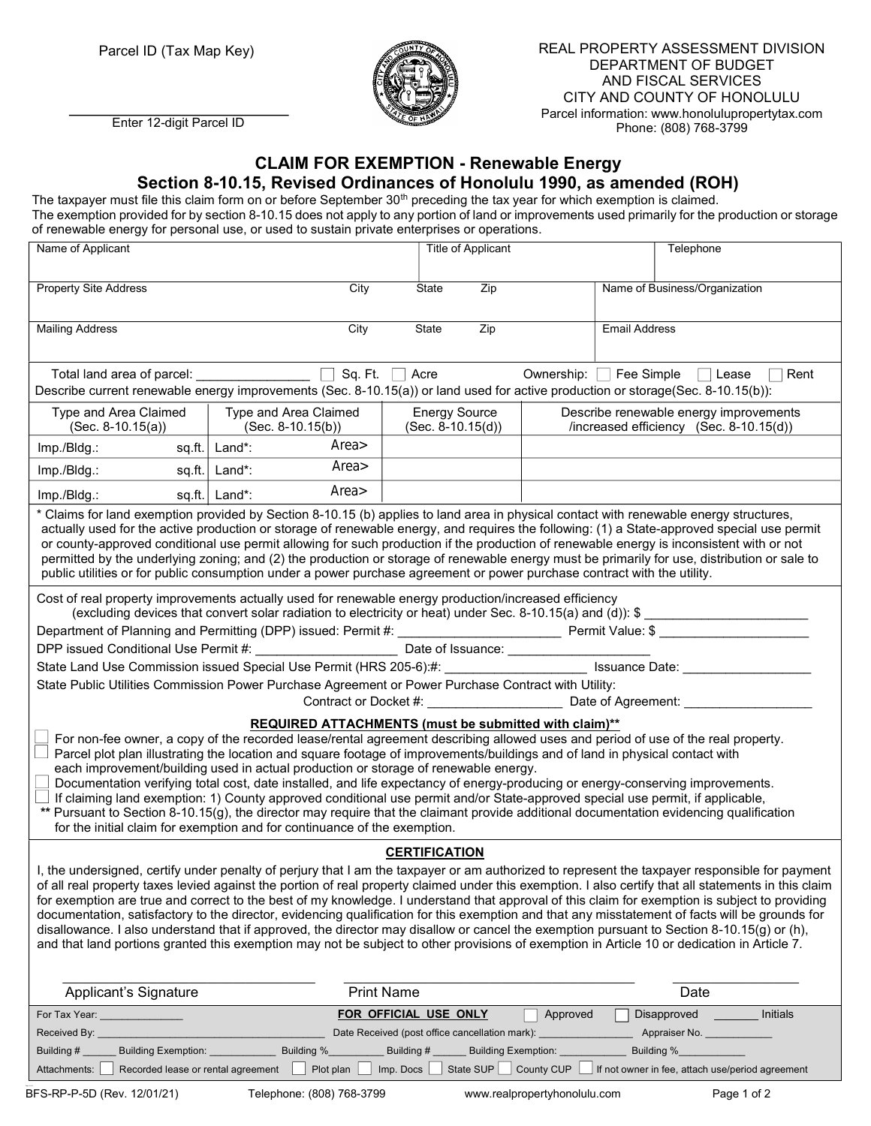

Parcel ID (Tax Map Key)  $\mathscr{B}(\mathbb{R})$  REAL PROPERTY ASSESSMENT DIVISION DEPARTMENT OF BUDGET AND FISCAL SERVICES CITY AND COUNTY OF HONOLULU Parcel information: www.honolulupropertytax.com Phone: (808) 768-3799

## CLAIM FOR EXEMPTION - Renewable Energy

## Section 8-10.15, Revised Ordinances of Honolulu 1990, as amended (ROH)

The taxpayer must file this claim form on or before September 30<sup>th</sup> preceding the tax year for which exemption is claimed. The exemption provided for by section 8-10.15 does not apply to any portion of land or improvements used primarily for the production or storage of renewable energy for personal use, or used to sustain private enterprises or operations.

| Name of Applicant                                                                                                                                                                                                                                                        |                                                                           | <b>Title of Applicant</b>                      | Telephone                                                                                                                                                                                                                                                                                 |
|--------------------------------------------------------------------------------------------------------------------------------------------------------------------------------------------------------------------------------------------------------------------------|---------------------------------------------------------------------------|------------------------------------------------|-------------------------------------------------------------------------------------------------------------------------------------------------------------------------------------------------------------------------------------------------------------------------------------------|
|                                                                                                                                                                                                                                                                          |                                                                           |                                                |                                                                                                                                                                                                                                                                                           |
| <b>Property Site Address</b>                                                                                                                                                                                                                                             | City                                                                      | Zip<br>State                                   | Name of Business/Organization                                                                                                                                                                                                                                                             |
|                                                                                                                                                                                                                                                                          |                                                                           | State                                          | <b>Email Address</b>                                                                                                                                                                                                                                                                      |
| <b>Mailing Address</b>                                                                                                                                                                                                                                                   | City                                                                      | Zip                                            |                                                                                                                                                                                                                                                                                           |
|                                                                                                                                                                                                                                                                          |                                                                           |                                                |                                                                                                                                                                                                                                                                                           |
| Sq. Ft.<br>Acre<br>Ownership: Fee Simple □ Lease<br>Rent<br>Describe current renewable energy improvements (Sec. 8-10.15(a)) or land used for active production or storage(Sec. 8-10.15(b)):                                                                             |                                                                           |                                                |                                                                                                                                                                                                                                                                                           |
|                                                                                                                                                                                                                                                                          |                                                                           |                                                |                                                                                                                                                                                                                                                                                           |
| Type and Area Claimed<br>$(Sec. 8-10.15(a))$                                                                                                                                                                                                                             | Type and Area Claimed<br>$(Sec. 8-10.15(b))$                              | <b>Energy Source</b><br>$(Sec. 8-10.15(d))$    | Describe renewable energy improvements<br>/increased efficiency (Sec. 8-10.15(d))                                                                                                                                                                                                         |
| Imp./Bldg.:                                                                                                                                                                                                                                                              | Area><br>sq.ft.   Land*:                                                  |                                                |                                                                                                                                                                                                                                                                                           |
| Imp./Bldg.:                                                                                                                                                                                                                                                              | Area><br>sq.ft. $\vert$ Land*:                                            |                                                |                                                                                                                                                                                                                                                                                           |
| Imp./Bldg.:<br>sq.fit.                                                                                                                                                                                                                                                   | Area><br>Land*:                                                           |                                                |                                                                                                                                                                                                                                                                                           |
| * Claims for land exemption provided by Section 8-10.15 (b) applies to land area in physical contact with renewable energy structures,                                                                                                                                   |                                                                           |                                                |                                                                                                                                                                                                                                                                                           |
| actually used for the active production or storage of renewable energy, and requires the following: (1) a State-approved special use permit                                                                                                                              |                                                                           |                                                |                                                                                                                                                                                                                                                                                           |
| or county-approved conditional use permit allowing for such production if the production of renewable energy is inconsistent with or not                                                                                                                                 |                                                                           |                                                |                                                                                                                                                                                                                                                                                           |
| permitted by the underlying zoning; and (2) the production or storage of renewable energy must be primarily for use, distribution or sale to<br>public utilities or for public consumption under a power purchase agreement or power purchase contract with the utility. |                                                                           |                                                |                                                                                                                                                                                                                                                                                           |
|                                                                                                                                                                                                                                                                          |                                                                           |                                                |                                                                                                                                                                                                                                                                                           |
| Cost of real property improvements actually used for renewable energy production/increased efficiency                                                                                                                                                                    |                                                                           |                                                |                                                                                                                                                                                                                                                                                           |
| (excluding devices that convert solar radiation to electricity or heat) under Sec. 8-10.15(a) and (d)): \$                                                                                                                                                               |                                                                           |                                                |                                                                                                                                                                                                                                                                                           |
|                                                                                                                                                                                                                                                                          |                                                                           |                                                |                                                                                                                                                                                                                                                                                           |
| DPP issued Conditional Use Permit #: _____________________________Date of Issuance: ______________________                                                                                                                                                               |                                                                           |                                                |                                                                                                                                                                                                                                                                                           |
| State Land Use Commission issued Special Use Permit (HRS 205-6):#: ________________________ Issuance Date: ____________________________                                                                                                                                  |                                                                           |                                                |                                                                                                                                                                                                                                                                                           |
| State Public Utilities Commission Power Purchase Agreement or Power Purchase Contract with Utility:                                                                                                                                                                      |                                                                           |                                                |                                                                                                                                                                                                                                                                                           |
| Contract or Docket #: Contract or Docket #:                                                                                                                                                                                                                              |                                                                           |                                                |                                                                                                                                                                                                                                                                                           |
| REQUIRED ATTACHMENTS (must be submitted with claim)**                                                                                                                                                                                                                    |                                                                           |                                                |                                                                                                                                                                                                                                                                                           |
| For non-fee owner, a copy of the recorded lease/rental agreement describing allowed uses and period of use of the real property.                                                                                                                                         |                                                                           |                                                |                                                                                                                                                                                                                                                                                           |
| Parcel plot plan illustrating the location and square footage of improvements/buildings and of land in physical contact with                                                                                                                                             |                                                                           |                                                |                                                                                                                                                                                                                                                                                           |
| each improvement/building used in actual production or storage of renewable energy.<br>Documentation verifying total cost, date installed, and life expectancy of energy-producing or energy-conserving improvements.                                                    |                                                                           |                                                |                                                                                                                                                                                                                                                                                           |
| If claiming land exemption: 1) County approved conditional use permit and/or State-approved special use permit, if applicable,                                                                                                                                           |                                                                           |                                                |                                                                                                                                                                                                                                                                                           |
| ** Pursuant to Section 8-10.15(g), the director may require that the claimant provide additional documentation evidencing qualification                                                                                                                                  |                                                                           |                                                |                                                                                                                                                                                                                                                                                           |
|                                                                                                                                                                                                                                                                          | for the initial claim for exemption and for continuance of the exemption. |                                                |                                                                                                                                                                                                                                                                                           |
| <b>CERTIFICATION</b>                                                                                                                                                                                                                                                     |                                                                           |                                                |                                                                                                                                                                                                                                                                                           |
| I, the undersigned, certify under penalty of perjury that I am the taxpayer or am authorized to represent the taxpayer responsible for payment                                                                                                                           |                                                                           |                                                |                                                                                                                                                                                                                                                                                           |
| of all real property taxes levied against the portion of real property claimed under this exemption. I also certify that all statements in this claim                                                                                                                    |                                                                           |                                                |                                                                                                                                                                                                                                                                                           |
| for exemption are true and correct to the best of my knowledge. I understand that approval of this claim for exemption is subject to providing                                                                                                                           |                                                                           |                                                |                                                                                                                                                                                                                                                                                           |
|                                                                                                                                                                                                                                                                          |                                                                           |                                                | documentation, satisfactory to the director, evidencing qualification for this exemption and that any misstatement of facts will be grounds for                                                                                                                                           |
|                                                                                                                                                                                                                                                                          |                                                                           |                                                | disallowance. I also understand that if approved, the director may disallow or cancel the exemption pursuant to Section 8-10.15(g) or (h),<br>and that land portions granted this exemption may not be subject to other provisions of exemption in Article 10 or dedication in Article 7. |
|                                                                                                                                                                                                                                                                          |                                                                           |                                                |                                                                                                                                                                                                                                                                                           |
|                                                                                                                                                                                                                                                                          |                                                                           |                                                |                                                                                                                                                                                                                                                                                           |
| <b>Applicant's Signature</b>                                                                                                                                                                                                                                             | <b>Print Name</b>                                                         |                                                | Date                                                                                                                                                                                                                                                                                      |
| For Tax Year: _______________                                                                                                                                                                                                                                            |                                                                           | FOR OFFICIAL USE ONLY                          | Disapproved<br>Initials<br>Approved                                                                                                                                                                                                                                                       |
| Received By: __                                                                                                                                                                                                                                                          |                                                                           | Date Received (post office cancellation mark): | Appraiser No.                                                                                                                                                                                                                                                                             |
| Building Exemption: ____________<br>Building %_<br>Building %_<br>Building #<br>Building #<br><b>Building Exemption:</b>                                                                                                                                                 |                                                                           |                                                |                                                                                                                                                                                                                                                                                           |
| Plot plan<br>Imp. Docs<br>State SUP<br>County CUP<br>If not owner in fee, attach use/period agreement<br>Attachments:<br>Recorded lease or rental agreement                                                                                                              |                                                                           |                                                |                                                                                                                                                                                                                                                                                           |